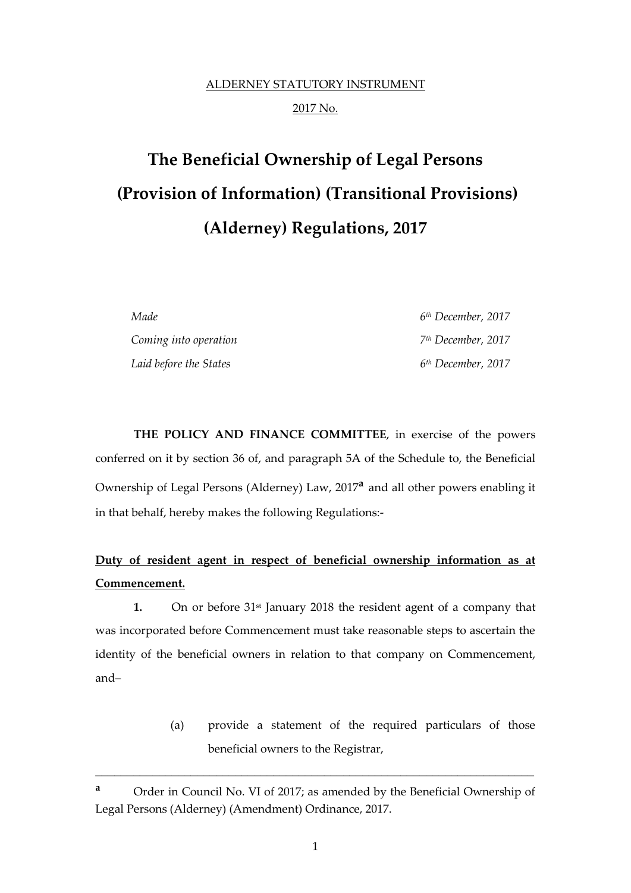## ALDERNEY STATUTORY INSTRUMENT 2017 No.

# **The Beneficial Ownership of Legal Persons (Provision of Information) (Transitional Provisions) (Alderney) Regulations, 2017**

*Made 6 th December, 2017 Coming into operation 7 th December, 2017 Laid before the States 6 th December, 2017*

**THE POLICY AND FINANCE COMMITTEE**, in exercise of the powers conferred on it by section 36 of, and paragraph 5A of the Schedule to, the Beneficial Ownership of Legal Persons (Alderney) Law, 2017**<sup>a</sup>** and all other powers enabling it in that behalf, hereby makes the following Regulations:-

### **Duty of resident agent in respect of beneficial ownership information as at Commencement.**

**1.** On or before 31st January 2018 the resident agent of a company that was incorporated before Commencement must take reasonable steps to ascertain the identity of the beneficial owners in relation to that company on Commencement, and–

> (a) provide a statement of the required particulars of those beneficial owners to the Registrar,

\_\_\_\_\_\_\_\_\_\_\_\_\_\_\_\_\_\_\_\_\_\_\_\_\_\_\_\_\_\_\_\_\_\_\_\_\_\_\_\_\_\_\_\_\_\_\_\_\_\_\_\_\_\_\_\_\_\_\_\_\_\_\_\_\_\_\_\_\_

**<sup>a</sup>** Order in Council No. VI of 2017; as amended by the Beneficial Ownership of Legal Persons (Alderney) (Amendment) Ordinance, 2017.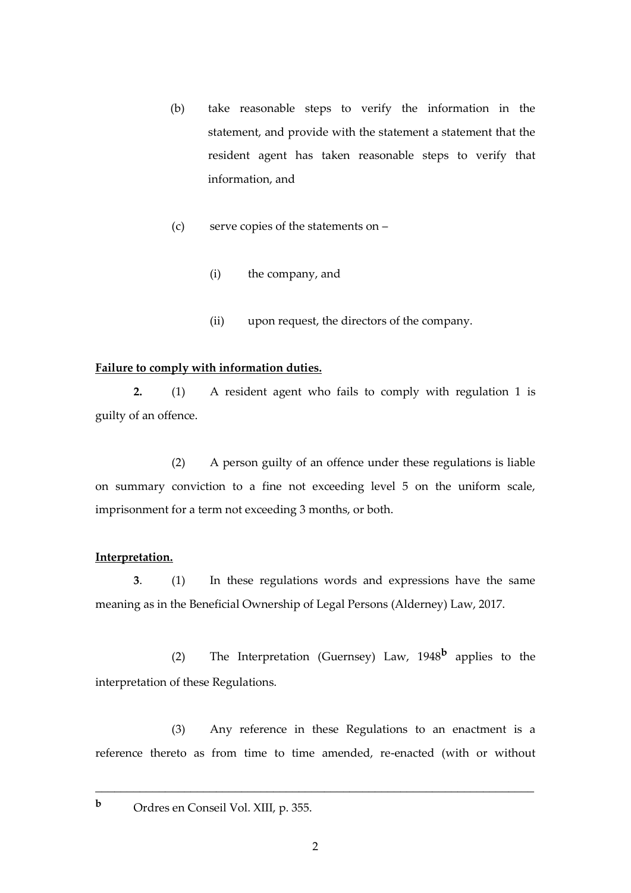- (b) take reasonable steps to verify the information in the statement, and provide with the statement a statement that the resident agent has taken reasonable steps to verify that information, and
- (c) serve copies of the statements on
	- (i) the company, and
	- (ii) upon request, the directors of the company.

#### **Failure to comply with information duties.**

**2.** (1) A resident agent who fails to comply with regulation 1 is guilty of an offence.

(2) A person guilty of an offence under these regulations is liable on summary conviction to a fine not exceeding level 5 on the uniform scale, imprisonment for a term not exceeding 3 months, or both.

#### **Interpretation.**

**3**. (1) In these regulations words and expressions have the same meaning as in the Beneficial Ownership of Legal Persons (Alderney) Law, 2017.

(2) The Interpretation (Guernsey) Law, 1948**<sup>b</sup>** applies to the interpretation of these Regulations.

(3) Any reference in these Regulations to an enactment is a reference thereto as from time to time amended, re-enacted (with or without

\_\_\_\_\_\_\_\_\_\_\_\_\_\_\_\_\_\_\_\_\_\_\_\_\_\_\_\_\_\_\_\_\_\_\_\_\_\_\_\_\_\_\_\_\_\_\_\_\_\_\_\_\_\_\_\_\_\_\_\_\_\_\_\_\_\_\_\_\_

**<sup>b</sup>** Ordres en Conseil Vol. XIII, p. 355.